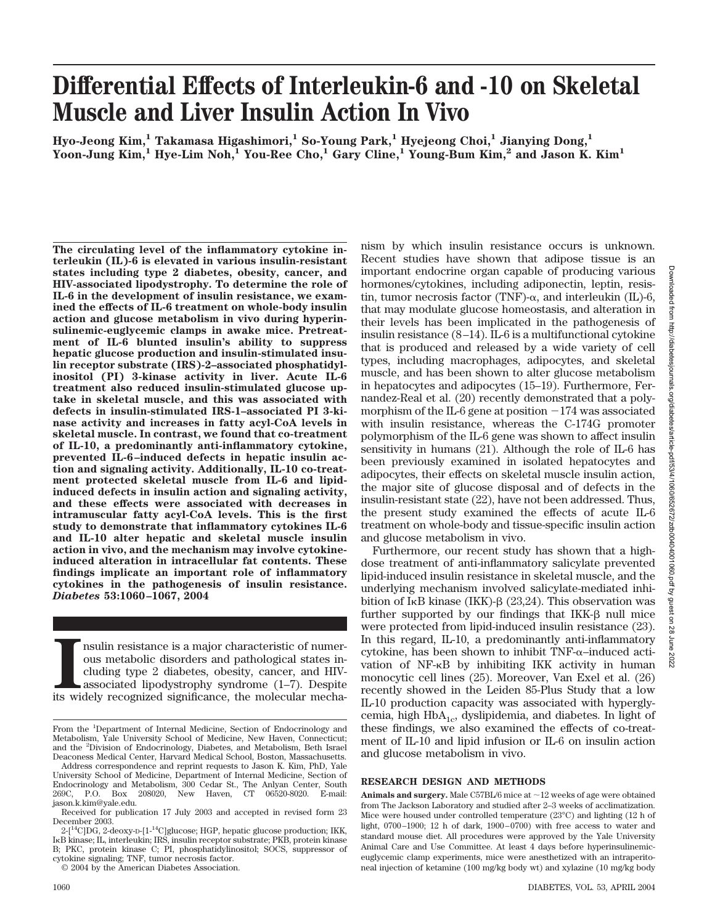28 June 2022

# **Differential Effects of Interleukin-6 and -10 on Skeletal Muscle and Liver Insulin Action In Vivo**

**Hyo-Jeong Kim,1 Takamasa Higashimori,1 So-Young Park,1 Hyejeong Choi,1 Jianying Dong,1 Yoon-Jung Kim,1 Hye-Lim Noh,1 You-Ree Cho,1 Gary Cline,1 Young-Bum Kim,2 and Jason K. Kim1**

**The circulating level of the inflammatory cytokine interleukin (IL)-6 is elevated in various insulin-resistant states including type 2 diabetes, obesity, cancer, and HIV-associated lipodystrophy. To determine the role of IL-6 in the development of insulin resistance, we examined the effects of IL-6 treatment on whole-body insulin action and glucose metabolism in vivo during hyperinsulinemic-euglycemic clamps in awake mice. Pretreatment of IL-6 blunted insulin's ability to suppress hepatic glucose production and insulin-stimulated insulin receptor substrate (IRS)-2–associated phosphatidylinositol (PI) 3-kinase activity in liver. Acute IL-6 treatment also reduced insulin-stimulated glucose uptake in skeletal muscle, and this was associated with defects in insulin-stimulated IRS-1–associated PI 3-kinase activity and increases in fatty acyl-CoA levels in skeletal muscle. In contrast, we found that co-treatment of IL-10, a predominantly anti-inflammatory cytokine, prevented IL-6–induced defects in hepatic insulin action and signaling activity. Additionally, IL-10 co-treatment protected skeletal muscle from IL-6 and lipidinduced defects in insulin action and signaling activity, and these effects were associated with decreases in intramuscular fatty acyl-CoA levels. This is the first study to demonstrate that inflammatory cytokines IL-6 and IL-10 alter hepatic and skeletal muscle insulin action in vivo, and the mechanism may involve cytokineinduced alteration in intracellular fat contents. These findings implicate an important role of inflammatory cytokines in the pathogenesis of insulin resistance.** *Diabetes* **53:1060–1067, 2004**

Its multimary is a major characteristic of numerous metabolic disorders and pathological states including type 2 diabetes, obesity, cancer, and HIV-associated lipodystrophy syndrome (1–7). Despite its widely recognized sig nsulin resistance is a major characteristic of numerous metabolic disorders and pathological states including type 2 diabetes, obesity, cancer, and HIVassociated lipodystrophy syndrome (1–7). Despite nism by which insulin resistance occurs is unknown. Recent studies have shown that adipose tissue is an important endocrine organ capable of producing various hormones/cytokines, including adiponectin, leptin, resistin, tumor necrosis factor (TNF)- $\alpha$ , and interleukin (IL)-6, that may modulate glucose homeostasis, and alteration in their levels has been implicated in the pathogenesis of insulin resistance (8–14). IL-6 is a multifunctional cytokine that is produced and released by a wide variety of cell types, including macrophages, adipocytes, and skeletal muscle, and has been shown to alter glucose metabolism in hepatocytes and adipocytes (15–19). Furthermore, Fernandez-Real et al. (20) recently demonstrated that a polymorphism of the IL-6 gene at position -174 was associated with insulin resistance, whereas the C-174G promoter polymorphism of the IL-6 gene was shown to affect insulin sensitivity in humans (21). Although the role of IL-6 has been previously examined in isolated hepatocytes and adipocytes, their effects on skeletal muscle insulin action, the major site of glucose disposal and of defects in the insulin-resistant state (22), have not been addressed. Thus, the present study examined the effects of acute IL-6 treatment on whole-body and tissue-specific insulin action and glucose metabolism in vivo.

Furthermore, our recent study has shown that a highdose treatment of anti-inflammatory salicylate prevented lipid-induced insulin resistance in skeletal muscle, and the underlying mechanism involved salicylate-mediated inhibition of I<sub>K</sub>B kinase (IKK)- $\beta$  (23,24). This observation was further supported by our findings that  $IKK-\beta$  null mice were protected from lipid-induced insulin resistance (23). In this regard, IL-10, a predominantly anti-inflammatory cytokine, has been shown to inhibit  $TNF-\alpha$ -induced activation of  $NF-\kappa B$  by inhibiting IKK activity in human monocytic cell lines (25). Moreover, Van Exel et al. (26) recently showed in the Leiden 85-Plus Study that a low IL-10 production capacity was associated with hyperglycemia, high  $HbA_{1c}$ , dyslipidemia, and diabetes. In light of these findings, we also examined the effects of co-treatment of IL-10 and lipid infusion or IL-6 on insulin action and glucose metabolism in vivo.

## **RESEARCH DESIGN AND METHODS**

**Animals and surgery.** Male C57BL/6 mice at  $\sim$  12 weeks of age were obtained from The Jackson Laboratory and studied after 2–3 weeks of acclimatization. Mice were housed under controlled temperature (23°C) and lighting (12 h of light, 0700–1900; 12 h of dark, 1900–0700) with free access to water and standard mouse diet. All procedures were approved by the Yale University Animal Care and Use Committee. At least 4 days before hyperinsulinemiceuglycemic clamp experiments, mice were anesthetized with an intraperitoneal injection of ketamine (100 mg/kg body wt) and xylazine (10 mg/kg body

From the <sup>1</sup>Department of Internal Medicine, Section of Endocrinology and Metabolism, Yale University School of Medicine, New Haven, Connecticut; and the <sup>2</sup> Division of Endocrinology, Diabetes, and Metabolism, Beth Israel Deaconess Medical Center, Harvard Medical School, Boston, Massachusetts.

Address correspondence and reprint requests to Jason K. Kim, PhD, Yale University School of Medicine, Department of Internal Medicine, Section of Endocrinology and Metabolism, 300 Cedar St., The Anlyan Center, South Box 208020, New Haven, CT 06520-8020. E-mail: jason.k.kim@yale.edu.

Received for publication 17 July 2003 and accepted in revised form 23 December 2003.

 $2-[$ <sup>14</sup>C]DG, 2-deoxy-D-[1-<sup>14</sup>C]glucose; HGP, hepatic glucose production; IKK, I<sub>K</sub>B kinase; IL, interleukin; IRS, insulin receptor substrate; PKB, protein kinase B; PKC, protein kinase C; PI, phosphatidylinositol; SOCS, suppressor of cytokine signaling; TNF, tumor necrosis factor.

<sup>© 2004</sup> by the American Diabetes Association.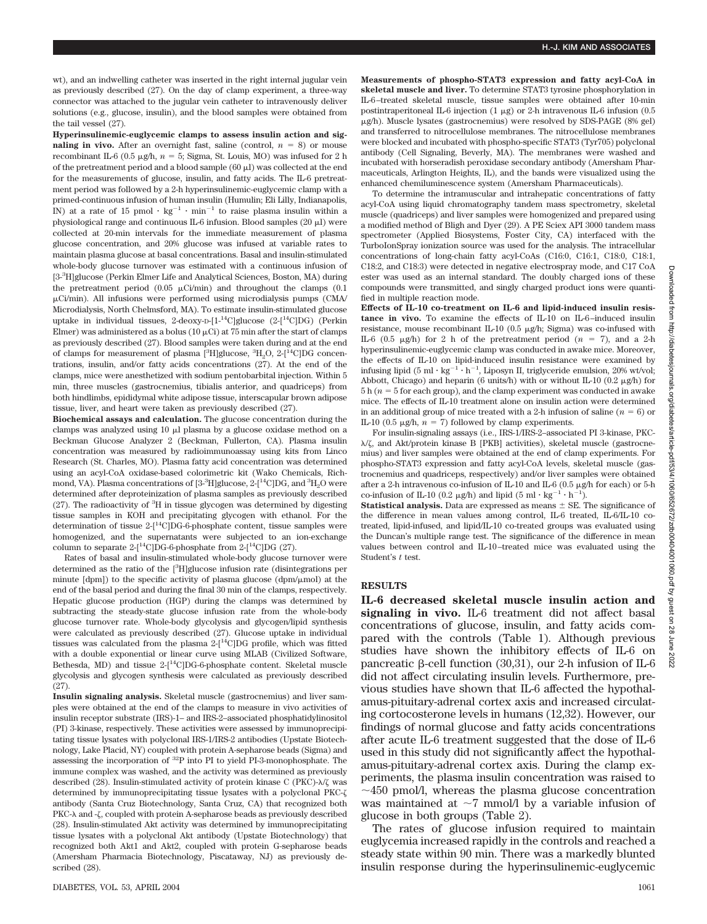wt), and an indwelling catheter was inserted in the right internal jugular vein as previously described (27). On the day of clamp experiment, a three-way connector was attached to the jugular vein catheter to intravenously deliver solutions (e.g., glucose, insulin), and the blood samples were obtained from the tail vessel (27).

**Hyperinsulinemic-euglycemic clamps to assess insulin action and signaling in vivo.** After an overnight fast, saline (control,  $n = 8$ ) or mouse recombinant IL-6 (0.5  $\mu$ g/h,  $n = 5$ ; Sigma, St. Louis, MO) was infused for 2 h of the pretreatment period and a blood sample  $(60 \mu)$  was collected at the end for the measurements of glucose, insulin, and fatty acids. The IL-6 pretreatment period was followed by a 2-h hyperinsulinemic-euglycemic clamp with a primed-continuous infusion of human insulin (Humulin; Eli Lilly, Indianapolis, IN) at a rate of 15 pmol  $\cdot$  kg<sup>-1</sup>  $\cdot$  min<sup>-1</sup> to raise plasma insulin within a physiological range and continuous IL-6 infusion. Blood samples (20  $\mu$ I) were collected at 20-min intervals for the immediate measurement of plasma glucose concentration, and 20% glucose was infused at variable rates to maintain plasma glucose at basal concentrations. Basal and insulin-stimulated whole-body glucose turnover was estimated with a continuous infusion of [3-3 H]glucose (Perkin Elmer Life and Analytical Sciences, Boston, MA) during the pretreatment period (0.05  $\mu$ Ci/min) and throughout the clamps (0.1 Ci/min). All infusions were performed using microdialysis pumps (CMA/ Microdialysis, North Chelmsford, MA). To estimate insulin-stimulated glucose uptake in individual tissues, 2-deoxy-D-[1-14C]glucose (2-[14C]DG) (Perkin Elmer) was administered as a bolus (10  $\mu$ Ci) at 75 min after the start of clamps as previously described (27). Blood samples were taken during and at the end of clamps for measurement of plasma [3H]glucose, 3H<sub>2</sub>O, 2-[<sup>14</sup>C]DG concentrations, insulin, and/or fatty acids concentrations (27). At the end of the clamps, mice were anesthetized with sodium pentobarbital injection. Within 5 min, three muscles (gastrocnemius, tibialis anterior, and quadriceps) from both hindlimbs, epididymal white adipose tissue, interscapular brown adipose tissue, liver, and heart were taken as previously described (27).

**Biochemical assays and calculation.** The glucose concentration during the clamps was analyzed using  $10 \text{ µl}$  plasma by a glucose oxidase method on a Beckman Glucose Analyzer 2 (Beckman, Fullerton, CA). Plasma insulin concentration was measured by radioimmunoassay using kits from Linco Research (St. Charles, MO). Plasma fatty acid concentration was determined using an acyl-CoA oxidase-based colorimetric kit (Wako Chemicals, Richmond, VA). Plasma concentrations of [3- $\rm{^3H}$ ]glucose, 2-[ $\rm{^{14}C}$ ]DG, and  $\rm{^3H_2O}$  were determined after deproteinization of plasma samples as previously described  $(27)$ . The radioactivity of  ${}^{3}H$  in tissue glycogen was determined by digesting tissue samples in KOH and precipitating glycogen with ethanol. For the determination of tissue 2-[14C]DG-6-phosphate content, tissue samples were homogenized, and the supernatants were subjected to an ion-exchange column to separate  $2-[$ <sup>14</sup>C]DG-6-phosphate from  $2-[$ <sup>14</sup>C]DG (27).

Rates of basal and insulin-stimulated whole-body glucose turnover were determined as the ratio of the [<sup>3</sup> H]glucose infusion rate (disintegrations per minute  $\delta$  [dpm]) to the specific activity of plasma glucose (dpm/ $\mu$ mol) at the end of the basal period and during the final 30 min of the clamps, respectively. Hepatic glucose production (HGP) during the clamps was determined by subtracting the steady-state glucose infusion rate from the whole-body glucose turnover rate. Whole-body glycolysis and glycogen/lipid synthesis were calculated as previously described (27). Glucose uptake in individual tissues was calculated from the plasma 2-[14C]DG profile, which was fitted with a double exponential or linear curve using MLAB (Civilized Software, Bethesda, MD) and tissue 2-[14C]DG-6-phosphate content. Skeletal muscle glycolysis and glycogen synthesis were calculated as previously described (27).

**Insulin signaling analysis.** Skeletal muscle (gastrocnemius) and liver samples were obtained at the end of the clamps to measure in vivo activities of insulin receptor substrate (IRS)-1– and IRS-2–associated phosphatidylinositol (PI) 3-kinase, respectively. These activities were assessed by immunoprecipitating tissue lysates with polyclonal IRS-1/IRS-2 antibodies (Upstate Biotechnology, Lake Placid, NY) coupled with protein A-sepharose beads (Sigma) and assessing the incorporation of  ${}^{32}P$  into PI to yield PI-3-monophosphate. The immune complex was washed, and the activity was determined as previously described  $(28)$ . Insulin-stimulated activity of protein kinase C (PKC)- $\lambda$ / $\zeta$  was determined by immunoprecipitating tissue lysates with a polyclonal PKC antibody (Santa Cruz Biotechnology, Santa Cruz, CA) that recognized both PKC- $\lambda$  and - $\zeta$ , coupled with protein A-sepharose beads as previously described (28). Insulin-stimulated Akt activity was determined by immunoprecipitating tissue lysates with a polyclonal Akt antibody (Upstate Biotechnology) that recognized both Akt1 and Akt2, coupled with protein G-sepharose beads (Amersham Pharmacia Biotechnology, Piscataway, NJ) as previously described (28).

**Measurements of phospho-STAT3 expression and fatty acyl-CoA in skeletal muscle and liver.** To determine STAT3 tyrosine phosphorylation in IL-6–treated skeletal muscle, tissue samples were obtained after 10-min postintraperitoneal IL-6 injection  $(1 \mu\text{g})$  or 2-h intravenous IL-6 infusion  $(0.5 \mu\text{m})$ g/h). Muscle lysates (gastrocnemius) were resolved by SDS-PAGE (8% gel) and transferred to nitrocellulose membranes. The nitrocellulose membranes were blocked and incubated with phospho-specific STAT3 (Tyr705) polyclonal antibody (Cell Signaling, Beverly, MA). The membranes were washed and incubated with horseradish peroxidase secondary antibody (Amersham Pharmaceuticals, Arlington Heights, IL), and the bands were visualized using the enhanced chemiluminescence system (Amersham Pharmaceuticals).

To determine the intramuscular and intrahepatic concentrations of fatty acyl-CoA using liquid chromatography tandem mass spectrometry, skeletal muscle (quadriceps) and liver samples were homogenized and prepared using a modified method of Bligh and Dyer (29). A PE Sciex API 3000 tandem mass spectrometer (Applied Biosystems, Foster City, CA) interfaced with the TurboIonSpray ionization source was used for the analysis. The intracellular concentrations of long-chain fatty acyl-CoAs (C16:0, C16:1, C18:0, C18:1, C18:2, and C18:3) were detected in negative electrospray mode, and C17 CoA ester was used as an internal standard. The doubly charged ions of these compounds were transmitted, and singly charged product ions were quantified in multiple reaction mode.

**Effects of IL-10 co-treatment on IL-6 and lipid-induced insulin resistance in vivo.** To examine the effects of IL-10 on IL-6–induced insulin resistance, mouse recombinant IL-10 (0.5  $\mu$ g/h; Sigma) was co-infused with IL-6 (0.5  $\mu$ g/h) for 2 h of the pretreatment period ( $n = 7$ ), and a 2-h hyperinsulinemic-euglycemic clamp was conducted in awake mice. Moreover, the effects of IL-10 on lipid-induced insulin resistance were examined by infusing lipid  $(5 \text{ ml} \cdot \text{kg}^{-1} \cdot \text{h}^{-1}$ , Liposyn II, triglyceride emulsion, 20% wt/vol; Abbott, Chicago) and heparin (6 units/h) with or without IL-10 (0.2  $\mu$ g/h) for  $5 h(n = 5$  for each group), and the clamp experiment was conducted in awake mice. The effects of IL-10 treatment alone on insulin action were determined in an additional group of mice treated with a 2-h infusion of saline  $(n = 6)$  or IL-10 (0.5  $\mu$ g/h, *n* = 7) followed by clamp experiments.

For insulin-signaling assays (i.e., IRS-1/IRS-2–associated PI 3-kinase, PKC-  $\lambda/\zeta$ , and Akt/protein kinase B [PKB] activities), skeletal muscle (gastrocnemius) and liver samples were obtained at the end of clamp experiments. For phospho-STAT3 expression and fatty acyl-CoA levels, skeletal muscle (gastrocnemius and quadriceps, respectively) and/or liver samples were obtained after a 2-h intravenous co-infusion of  $IL-10$  and  $IL-6$  (0.5  $\mu$ g/h for each) or 5-h co-infusion of IL-10 (0.2  $\mu$ g/h) and lipid (5 ml·kg<sup>-1</sup>·h<sup>-1</sup>).

**Statistical analysis.** Data are expressed as means  $\pm$  SE. The significance of the difference in mean values among control, IL-6 treated, IL-6/IL-10 cotreated, lipid-infused, and lipid/IL-10 co-treated groups was evaluated using the Duncan's multiple range test. The significance of the difference in mean values between control and IL-10–treated mice was evaluated using the Student's *t* test.

### **RESULTS**

**IL-6 decreased skeletal muscle insulin action and signaling in vivo.** IL-6 treatment did not affect basal concentrations of glucose, insulin, and fatty acids compared with the controls (Table 1). Although previous studies have shown the inhibitory effects of IL-6 on pancreatic  $\beta$ -cell function (30,31), our 2-h infusion of IL-6 did not affect circulating insulin levels. Furthermore, previous studies have shown that IL-6 affected the hypothalamus-pituitary-adrenal cortex axis and increased circulating cortocosterone levels in humans (12,32). However, our findings of normal glucose and fatty acids concentrations after acute IL-6 treatment suggested that the dose of IL-6 used in this study did not significantly affect the hypothalamus-pituitary-adrenal cortex axis. During the clamp experiments, the plasma insulin concentration was raised to  $\sim$ 450 pmol/l, whereas the plasma glucose concentration was maintained at  $\sim$ 7 mmol/l by a variable infusion of glucose in both groups (Table 2).

The rates of glucose infusion required to maintain euglycemia increased rapidly in the controls and reached a steady state within 90 min. There was a markedly blunted insulin response during the hyperinsulinemic-euglycemic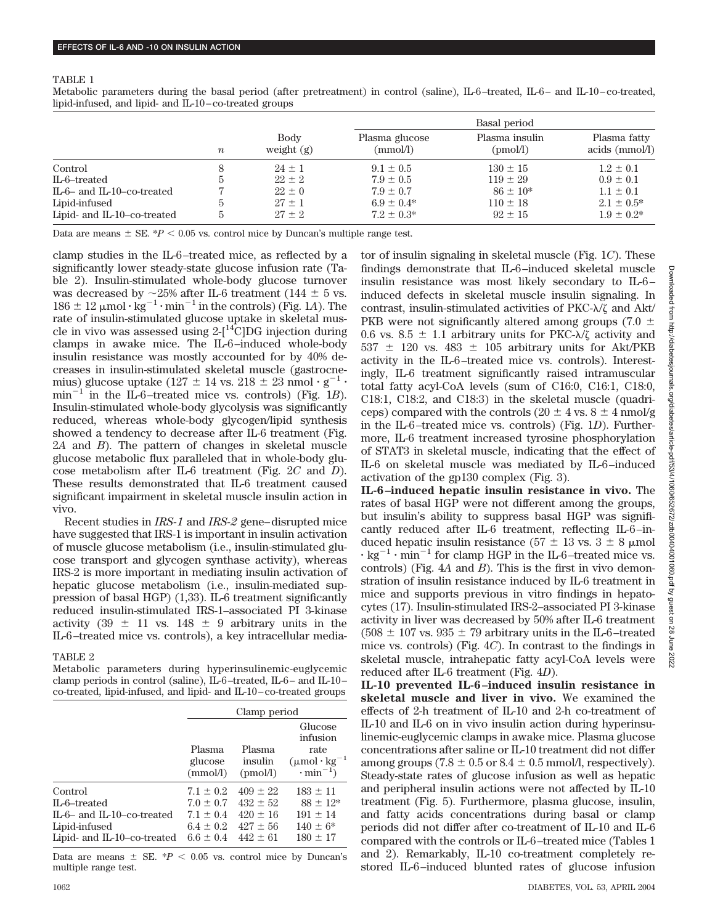#### TABLE 1

Metabolic parameters during the basal period (after pretreatment) in control (saline), IL-6–treated, IL-6– and IL-10–co-treated, lipid-infused, and lipid- and IL-10–co-treated groups

| Basal period               |                                                                                                                                   |  |
|----------------------------|-----------------------------------------------------------------------------------------------------------------------------------|--|
| Plasma insulin<br>(pmol/l) | Plasma fatty<br>$acids$ (mmol/l)                                                                                                  |  |
| $130 \pm 15$               | $1.2 \pm 0.1$                                                                                                                     |  |
| $119 \pm 29$               | $0.9 \pm 0.1$                                                                                                                     |  |
| $86 \pm 10^*$              | $1.1 \pm 0.1$                                                                                                                     |  |
| $110 \pm 18$               | $2.1 \pm 0.5^*$<br>$1.9 \pm 0.2^*$                                                                                                |  |
|                            | Plasma glucose<br>(mmol/l)<br>$9.1 \pm 0.5$<br>$7.9 \pm 0.5$<br>$7.9 \pm 0.7$<br>$6.9 \pm 0.4*$<br>$7.2 \pm 0.3^*$<br>$92 \pm 15$ |  |

Data are means  $\pm$  SE.  $*P < 0.05$  vs. control mice by Duncan's multiple range test.

clamp studies in the IL-6–treated mice, as reflected by a significantly lower steady-state glucose infusion rate (Table 2). Insulin-stimulated whole-body glucose turnover was decreased by  $\sim$ 25% after IL-6 treatment (144  $\pm$  5 vs.  $186 \pm 12 \mu$ mol· $kg^{-1}$ ·min<sup>-1</sup> in the controls) (Fig. 1A). The rate of insulin-stimulated glucose uptake in skeletal muscle in vivo was assessed using  $2-[$ <sup>14</sup>C|DG injection during clamps in awake mice. The IL-6–induced whole-body insulin resistance was mostly accounted for by 40% decreases in insulin-stimulated skeletal muscle (gastrocnemius) glucose uptake (127  $\pm$  14 vs. 218  $\pm$  23 nmol ·  $g^{-1}$  ·  $min^{-1}$ <sup>1</sup> in the IL-6–treated mice vs. controls) (Fig. 1*B*). Insulin-stimulated whole-body glycolysis was significantly reduced, whereas whole-body glycogen/lipid synthesis showed a tendency to decrease after IL-6 treatment (Fig. 2*A* and *B*). The pattern of changes in skeletal muscle glucose metabolic flux paralleled that in whole-body glucose metabolism after IL-6 treatment (Fig. 2*C* and *D*). These results demonstrated that IL-6 treatment caused significant impairment in skeletal muscle insulin action in vivo.

Recent studies in *IRS-1* and *IRS-2* gene–disrupted mice have suggested that IRS-1 is important in insulin activation of muscle glucose metabolism (i.e., insulin-stimulated glucose transport and glycogen synthase activity), whereas IRS-2 is more important in mediating insulin activation of hepatic glucose metabolism (i.e., insulin-mediated suppression of basal HGP) (1,33). IL-6 treatment significantly reduced insulin-stimulated IRS-1–associated PI 3-kinase activity  $(39 \pm 11 \text{ vs. } 148 \pm 9 \text{ arbitrary units in the})$ IL-6–treated mice vs. controls), a key intracellular media-

# TABLE 2

Metabolic parameters during hyperinsulinemic-euglycemic clamp periods in control (saline), IL-6–treated, IL-6– and IL-10– co-treated, lipid-infused, and lipid- and IL-10–co-treated groups

|                                                                                                            | Clamp period                                                                      |                                                                            |                                                                                                       |
|------------------------------------------------------------------------------------------------------------|-----------------------------------------------------------------------------------|----------------------------------------------------------------------------|-------------------------------------------------------------------------------------------------------|
|                                                                                                            | Plasma<br>glucose<br>(mmol/l)                                                     | Plasma<br>insulin<br>(pmol/l)                                              | Glucose<br>infusion<br>rate<br>$(\mu \text{mol} \cdot \text{kg}^{-1})$<br>$\cdot$ min <sup>-1</sup> ) |
| Control<br>IL-6-treated<br>$IL-6-$ and $IL-10-$ co-treated<br>Lipid-infused<br>Lipid- and IL-10-co-treated | $7.1 \pm 0.2$<br>$7.0 \pm 0.7$<br>$7.1 \pm 0.4$<br>$6.4 \pm 0.2$<br>$6.6 \pm 0.4$ | $409 \pm 22$<br>$432 \pm 52$<br>$420 \pm 16$<br>$427 \pm 56$<br>$442 + 61$ | $183 \pm 11$<br>$88 \pm 12*$<br>$191 \pm 14$<br>$140 \pm 6^*$<br>$180 \pm 17$                         |

Data are means  $\pm$  SE.  $^*P$  < 0.05 vs. control mice by Duncan's multiple range test.

tor of insulin signaling in skeletal muscle (Fig. 1*C*). These findings demonstrate that IL-6–induced skeletal muscle insulin resistance was most likely secondary to IL-6– induced defects in skeletal muscle insulin signaling. In contrast, insulin-stimulated activities of  $PKC-\lambda/\zeta$  and  $Akt/$ PKB were not significantly altered among groups (7.0  $\pm$ 0.6 vs. 8.5  $\pm$  1.1 arbitrary units for PKC- $\lambda/\zeta$  activity and  $537 \pm 120$  vs.  $483 \pm 105$  arbitrary units for Akt/PKB activity in the IL-6–treated mice vs. controls). Interestingly, IL-6 treatment significantly raised intramuscular total fatty acyl-CoA levels (sum of C16:0, C16:1, C18:0, C18:1, C18:2, and C18:3) in the skeletal muscle (quadriceps) compared with the controls (20  $\pm$  4 vs. 8  $\pm$  4 nmol/g in the IL-6–treated mice vs. controls) (Fig. 1*D*). Furthermore, IL-6 treatment increased tyrosine phosphorylation of STAT3 in skeletal muscle, indicating that the effect of IL-6 on skeletal muscle was mediated by IL-6–induced activation of the gp130 complex (Fig. 3). **IL-6–induced hepatic insulin resistance in vivo.** The

rates of basal HGP were not different among the groups, but insulin's ability to suppress basal HGP was significantly reduced after IL-6 treatment, reflecting IL-6–induced hepatic insulin resistance ( $57 \pm 13$  vs.  $3 \pm 8$  µmol  $\cdot$  kg<sup>-1</sup>  $\cdot$  min<sup>-1</sup> for clamp HGP in the IL-6-treated mice vs. controls) (Fig. 4*A* and *B*). This is the first in vivo demonstration of insulin resistance induced by IL-6 treatment in mice and supports previous in vitro findings in hepatocytes (17). Insulin-stimulated IRS-2–associated PI 3-kinase activity in liver was decreased by 50% after IL-6 treatment  $(508 \pm 107 \text{ vs. } 935 \pm 79 \text{ arbitrary units in the IL-6-treated})$ mice vs. controls) (Fig. 4*C*). In contrast to the findings in skeletal muscle, intrahepatic fatty acyl-CoA levels were reduced after IL-6 treatment (Fig. 4*D*).

**IL-10 prevented IL-6–induced insulin resistance in skeletal muscle and liver in vivo.** We examined the effects of 2-h treatment of IL-10 and 2-h co-treatment of IL-10 and IL-6 on in vivo insulin action during hyperinsulinemic-euglycemic clamps in awake mice. Plasma glucose concentrations after saline or IL-10 treatment did not differ among groups (7.8  $\pm$  0.5 or 8.4  $\pm$  0.5 mmol/l, respectively). Steady-state rates of glucose infusion as well as hepatic and peripheral insulin actions were not affected by IL-10 treatment (Fig. 5). Furthermore, plasma glucose, insulin, and fatty acids concentrations during basal or clamp periods did not differ after co-treatment of IL-10 and IL-6 compared with the controls or IL-6–treated mice (Tables 1 and 2). Remarkably, IL-10 co-treatment completely restored IL-6–induced blunted rates of glucose infusion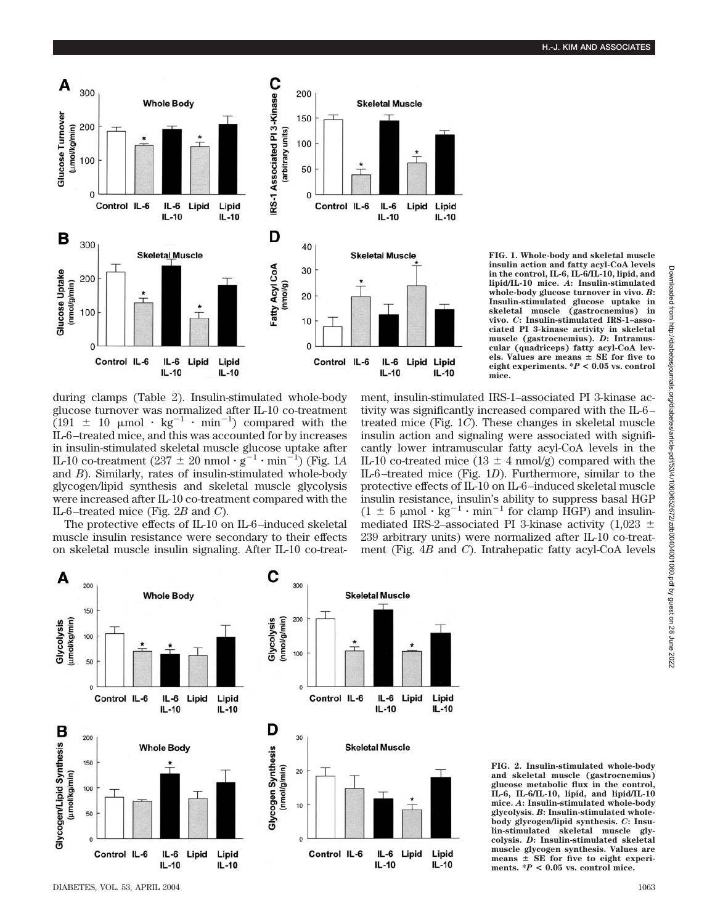

**FIG. 1. Whole-body and skeletal muscle insulin action and fatty acyl-CoA levels in the control, IL-6, IL-6/IL-10, lipid, and lipid/IL-10 mice.** *A***: Insulin-stimulated whole-body glucose turnover in vivo.** *B***: Insulin-stimulated glucose uptake in skeletal muscle (gastrocnemius) in vivo.** *C***: Insulin-stimulated IRS-1–associated PI 3-kinase activity in skeletal muscle (gastrocnemius).** *D***: Intramuscular (quadriceps) fatty acyl-CoA levels. Values are means SE for five to eight experiments. \****P* **< 0.05 vs. control mice.**

during clamps (Table 2). Insulin-stimulated whole-body glucose turnover was normalized after IL-10 co-treatment  $(191 \pm 10 \mu \text{mol} \cdot \text{kg}^{-1} \cdot \text{min}^{-1})$  compared with the IL-6–treated mice, and this was accounted for by increases in insulin-stimulated skeletal muscle glucose uptake after IL-10 co-treatment  $(237 \pm 20 \text{ nmol} \cdot \text{g}^{-1} \cdot \text{min}^{-1})$  (Fig. 1A) and *B*). Similarly, rates of insulin-stimulated whole-body glycogen/lipid synthesis and skeletal muscle glycolysis were increased after IL-10 co-treatment compared with the IL-6–treated mice (Fig. 2*B* and *C*).

The protective effects of IL-10 on IL-6–induced skeletal muscle insulin resistance were secondary to their effects on skeletal muscle insulin signaling. After IL-10 co-treatment, insulin-stimulated IRS-1–associated PI 3-kinase activity was significantly increased compared with the IL-6– treated mice (Fig. 1*C*). These changes in skeletal muscle insulin action and signaling were associated with significantly lower intramuscular fatty acyl-CoA levels in the IL-10 co-treated mice  $(13 \pm 4 \text{ nmol/g})$  compared with the IL-6–treated mice (Fig. 1*D*). Furthermore, similar to the protective effects of IL-10 on IL-6–induced skeletal muscle insulin resistance, insulin's ability to suppress basal HGP  $(1 \pm 5 \mu \text{mol} \cdot \text{kg}^{-1} \cdot \text{min}^{-1}$  for clamp HGP) and insulinmediated IRS-2–associated PI 3-kinase activity (1,023  $\pm$ 239 arbitrary units) were normalized after IL-10 co-treatment (Fig. 4*B* and *C*). Intrahepatic fatty acyl-CoA levels



**FIG. 2. Insulin-stimulated whole-body and skeletal muscle (gastrocnemius) glucose metabolic flux in the control, IL-6, IL-6/IL-10, lipid, and lipid/IL-10 mice.** *A***: Insulin-stimulated whole-body glycolysis.** *B***: Insulin-stimulated wholebody glycogen/lipid synthesis.** *C***: Insulin-stimulated skeletal muscle glycolysis.** *D***: Insulin-stimulated skeletal muscle glycogen synthesis. Values are means SE for five to eight experiments. \****P* **< 0.05 vs. control mice.**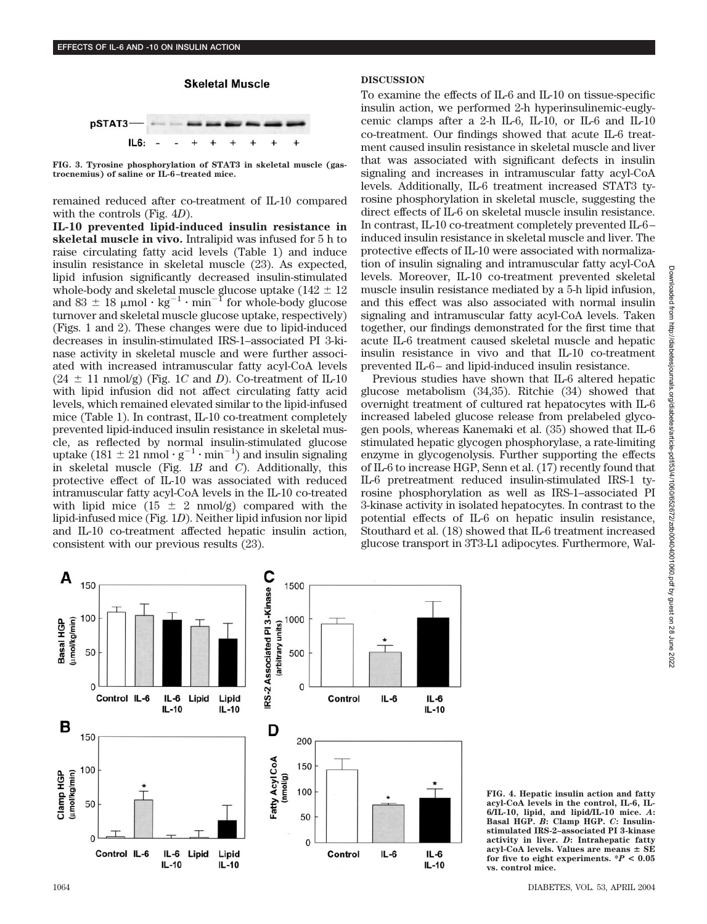# **Skeletal Muscle** pSTAT3 IL6:

**FIG. 3. Tyrosine phosphorylation of STAT3 in skeletal muscle (gastrocnemius) of saline or IL-6–treated mice.**

remained reduced after co-treatment of IL-10 compared with the controls (Fig. 4*D*).

**IL-10 prevented lipid-induced insulin resistance in skeletal muscle in vivo.** Intralipid was infused for 5 h to raise circulating fatty acid levels (Table 1) and induce insulin resistance in skeletal muscle (23). As expected, lipid infusion significantly decreased insulin-stimulated whole-body and skeletal muscle glucose uptake (142  $\pm$  12  $\,$ and 83  $\pm$  18  $\mu$ mol · kg<sup>-1</sup> · min<sup>-1</sup> for whole-body glucose turnover and skeletal muscle glucose uptake, respectively) (Figs. 1 and 2). These changes were due to lipid-induced decreases in insulin-stimulated IRS-1–associated PI 3-kinase activity in skeletal muscle and were further associated with increased intramuscular fatty acyl-CoA levels  $(24 \pm 11 \text{ nmol/g})$  (Fig. 1*C* and *D*). Co-treatment of IL-10 with lipid infusion did not affect circulating fatty acid levels, which remained elevated similar to the lipid-infused mice (Table 1). In contrast, IL-10 co-treatment completely prevented lipid-induced insulin resistance in skeletal muscle, as reflected by normal insulin-stimulated glucose uptake (181  $\pm$  21 nmol  $\cdot$  g<sup>-1</sup>  $\cdot$  min<sup>-1</sup>) and insulin signaling in skeletal muscle (Fig. 1*B* and *C*). Additionally, this protective effect of IL-10 was associated with reduced intramuscular fatty acyl-CoA levels in the IL-10 co-treated with lipid mice  $(15 \pm 2 \text{ nmol/g})$  compared with the lipid-infused mice (Fig. 1*D*). Neither lipid infusion nor lipid and IL-10 co-treatment affected hepatic insulin action, consistent with our previous results (23).

# **DISCUSSION**

To examine the effects of IL-6 and IL-10 on tissue-specific insulin action, we performed 2-h hyperinsulinemic-euglycemic clamps after a 2-h IL-6, IL-10, or IL-6 and IL-10 co-treatment. Our findings showed that acute IL-6 treatment caused insulin resistance in skeletal muscle and liver that was associated with significant defects in insulin signaling and increases in intramuscular fatty acyl-CoA levels. Additionally, IL-6 treatment increased STAT3 tyrosine phosphorylation in skeletal muscle, suggesting the direct effects of IL-6 on skeletal muscle insulin resistance. In contrast, IL-10 co-treatment completely prevented IL-6– induced insulin resistance in skeletal muscle and liver. The protective effects of IL-10 were associated with normalization of insulin signaling and intramuscular fatty acyl-CoA levels. Moreover, IL-10 co-treatment prevented skeletal muscle insulin resistance mediated by a 5-h lipid infusion, and this effect was also associated with normal insulin signaling and intramuscular fatty acyl-CoA levels. Taken together, our findings demonstrated for the first time that acute IL-6 treatment caused skeletal muscle and hepatic insulin resistance in vivo and that IL-10 co-treatment prevented IL-6– and lipid-induced insulin resistance.

Previous studies have shown that IL-6 altered hepatic glucose metabolism (34,35). Ritchie (34) showed that overnight treatment of cultured rat hepatocytes with IL-6 increased labeled glucose release from prelabeled glycogen pools, whereas Kanemaki et al. (35) showed that IL-6 stimulated hepatic glycogen phosphorylase, a rate-limiting enzyme in glycogenolysis. Further supporting the effects of IL-6 to increase HGP, Senn et al. (17) recently found that IL-6 pretreatment reduced insulin-stimulated IRS-1 tyrosine phosphorylation as well as IRS-1–associated PI 3-kinase activity in isolated hepatocytes. In contrast to the potential effects of IL-6 on hepatic insulin resistance, Stouthard et al. (18) showed that IL-6 treatment increased glucose transport in 3T3-L1 adipocytes. Furthermore, Wal-



**FIG. 4. Hepatic insulin action and fatty acyl-CoA levels in the control, IL-6, IL-6/IL-10, lipid, and lipid/IL-10 mice.** *A***: Basal HGP.** *B***: Clamp HGP.** *C***: Insulinstimulated IRS-2–associated PI 3-kinase activity in liver.** *D***: Intrahepatic fatty acyl-CoA levels. Values are means SE for five to eight experiments. \****P* **< 0.05 vs. control mice.**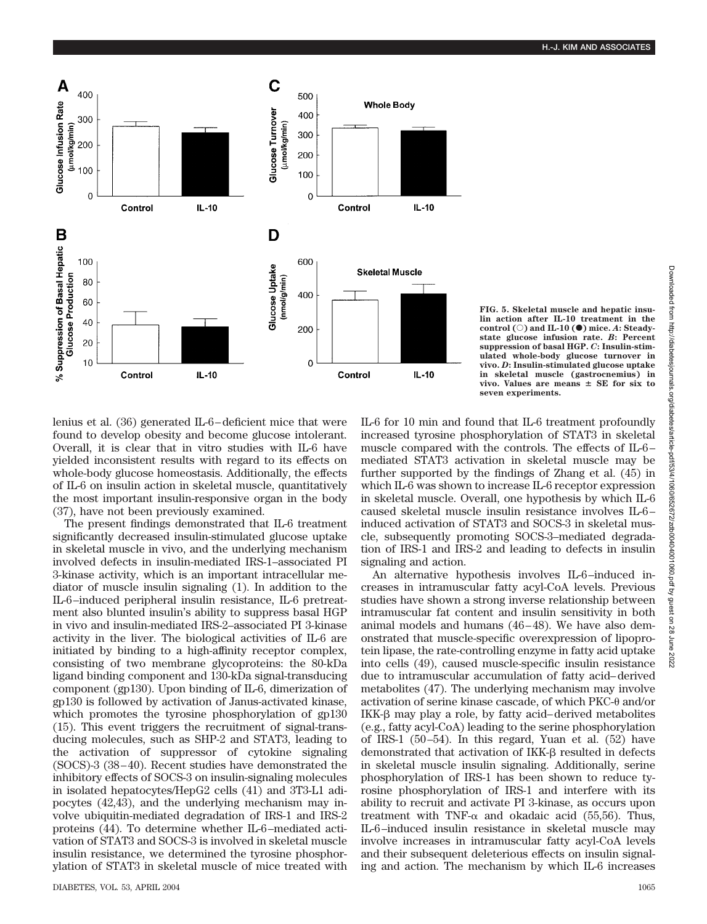

**FIG. 5. Skeletal muscle and hepatic insulin action after IL-10 treatment in the** control  $\textcircled{c}$  and **IL-10**  $\textcircled{e}$  mice. *A*: Steady**state glucose infusion rate.** *B***: Percent suppression of basal HGP.** *C***: Insulin-stimulated whole-body glucose turnover in vivo.** *D***: Insulin-stimulated glucose uptake in skeletal muscle (gastrocnemius) in vivo. Values are means SE for six to seven experiments.**

lenius et al. (36) generated IL-6–deficient mice that were found to develop obesity and become glucose intolerant. Overall, it is clear that in vitro studies with IL-6 have yielded inconsistent results with regard to its effects on whole-body glucose homeostasis. Additionally, the effects of IL-6 on insulin action in skeletal muscle, quantitatively the most important insulin-responsive organ in the body (37), have not been previously examined.

The present findings demonstrated that IL-6 treatment significantly decreased insulin-stimulated glucose uptake in skeletal muscle in vivo, and the underlying mechanism involved defects in insulin-mediated IRS-1–associated PI 3-kinase activity, which is an important intracellular mediator of muscle insulin signaling (1). In addition to the IL-6–induced peripheral insulin resistance, IL-6 pretreatment also blunted insulin's ability to suppress basal HGP in vivo and insulin-mediated IRS-2–associated PI 3-kinase activity in the liver. The biological activities of IL-6 are initiated by binding to a high-affinity receptor complex, consisting of two membrane glycoproteins: the 80-kDa ligand binding component and 130-kDa signal-transducing component (gp130). Upon binding of IL-6, dimerization of gp130 is followed by activation of Janus-activated kinase, which promotes the tyrosine phosphorylation of gp130 (15). This event triggers the recruitment of signal-transducing molecules, such as SHP-2 and STAT3, leading to the activation of suppressor of cytokine signaling (SOCS)-3 (38–40). Recent studies have demonstrated the inhibitory effects of SOCS-3 on insulin-signaling molecules in isolated hepatocytes/HepG2 cells (41) and 3T3-L1 adipocytes (42,43), and the underlying mechanism may involve ubiquitin-mediated degradation of IRS-1 and IRS-2 proteins (44). To determine whether IL-6–mediated activation of STAT3 and SOCS-3 is involved in skeletal muscle insulin resistance, we determined the tyrosine phosphorylation of STAT3 in skeletal muscle of mice treated with

IL-6 for 10 min and found that IL-6 treatment profoundly increased tyrosine phosphorylation of STAT3 in skeletal muscle compared with the controls. The effects of IL-6– mediated STAT3 activation in skeletal muscle may be further supported by the findings of Zhang et al. (45) in which IL-6 was shown to increase IL-6 receptor expression in skeletal muscle. Overall, one hypothesis by which IL-6 caused skeletal muscle insulin resistance involves IL-6– induced activation of STAT3 and SOCS-3 in skeletal muscle, subsequently promoting SOCS-3–mediated degradation of IRS-1 and IRS-2 and leading to defects in insulin signaling and action.

An alternative hypothesis involves IL-6–induced increases in intramuscular fatty acyl-CoA levels. Previous studies have shown a strong inverse relationship between intramuscular fat content and insulin sensitivity in both animal models and humans (46–48). We have also demonstrated that muscle-specific overexpression of lipoprotein lipase, the rate-controlling enzyme in fatty acid uptake into cells (49), caused muscle-specific insulin resistance due to intramuscular accumulation of fatty acid–derived metabolites (47). The underlying mechanism may involve activation of serine kinase cascade, of which  $PKC-\theta$  and/or  $IKK-B$  may play a role, by fatty acid–derived metabolites (e.g., fatty acyl-CoA) leading to the serine phosphorylation of IRS-1 (50–54). In this regard, Yuan et al. (52) have demonstrated that activation of IKK- $\beta$  resulted in defects in skeletal muscle insulin signaling. Additionally, serine phosphorylation of IRS-1 has been shown to reduce tyrosine phosphorylation of IRS-1 and interfere with its ability to recruit and activate PI 3-kinase, as occurs upon treatment with TNF- $\alpha$  and okadaic acid (55,56). Thus, IL-6–induced insulin resistance in skeletal muscle may involve increases in intramuscular fatty acyl-CoA levels and their subsequent deleterious effects on insulin signaling and action. The mechanism by which IL-6 increases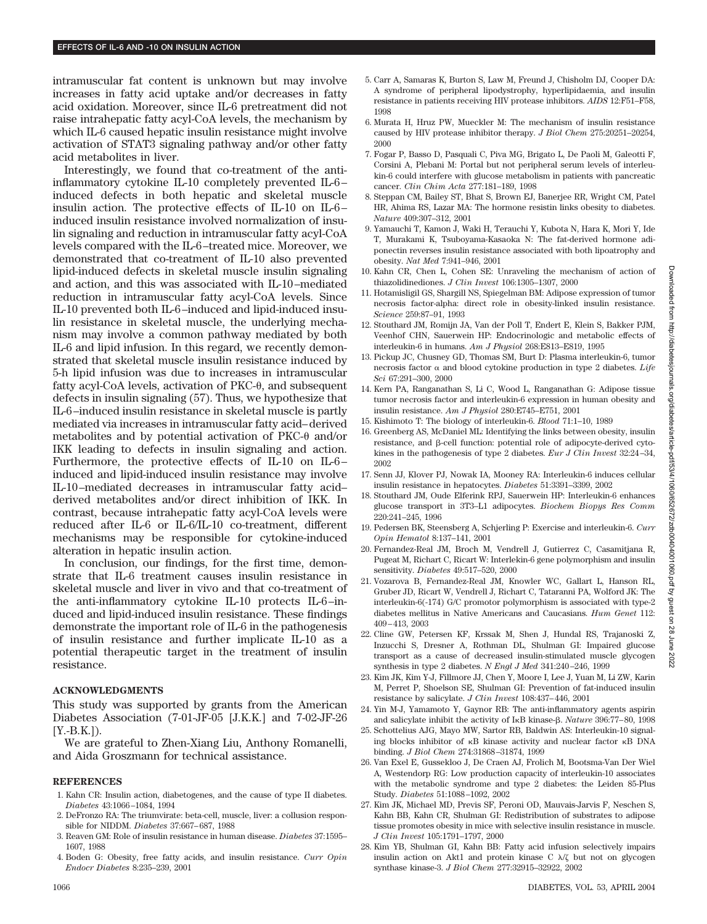intramuscular fat content is unknown but may involve increases in fatty acid uptake and/or decreases in fatty acid oxidation. Moreover, since IL-6 pretreatment did not raise intrahepatic fatty acyl-CoA levels, the mechanism by which IL-6 caused hepatic insulin resistance might involve activation of STAT3 signaling pathway and/or other fatty acid metabolites in liver.

Interestingly, we found that co-treatment of the antiinflammatory cytokine IL-10 completely prevented IL-6– induced defects in both hepatic and skeletal muscle insulin action. The protective effects of IL-10 on IL-6– induced insulin resistance involved normalization of insulin signaling and reduction in intramuscular fatty acyl-CoA levels compared with the IL-6–treated mice. Moreover, we demonstrated that co-treatment of IL-10 also prevented lipid-induced defects in skeletal muscle insulin signaling and action, and this was associated with IL-10–mediated reduction in intramuscular fatty acyl-CoA levels. Since IL-10 prevented both IL-6–induced and lipid-induced insulin resistance in skeletal muscle, the underlying mechanism may involve a common pathway mediated by both IL-6 and lipid infusion. In this regard, we recently demonstrated that skeletal muscle insulin resistance induced by 5-h lipid infusion was due to increases in intramuscular fatty acyl-CoA levels, activation of  $PKC-<sub>0</sub>$ , and subsequent defects in insulin signaling (57). Thus, we hypothesize that IL-6–induced insulin resistance in skeletal muscle is partly mediated via increases in intramuscular fatty acid–derived metabolites and by potential activation of  $PKC-\theta$  and/or IKK leading to defects in insulin signaling and action. Furthermore, the protective effects of IL-10 on IL-6– induced and lipid-induced insulin resistance may involve IL-10–mediated decreases in intramuscular fatty acid– derived metabolites and/or direct inhibition of IKK. In contrast, because intrahepatic fatty acyl-CoA levels were reduced after IL-6 or IL-6/IL-10 co-treatment, different mechanisms may be responsible for cytokine-induced alteration in hepatic insulin action.

In conclusion, our findings, for the first time, demonstrate that IL-6 treatment causes insulin resistance in skeletal muscle and liver in vivo and that co-treatment of the anti-inflammatory cytokine IL-10 protects IL-6–induced and lipid-induced insulin resistance. These findings demonstrate the important role of IL-6 in the pathogenesis of insulin resistance and further implicate IL-10 as a potential therapeutic target in the treatment of insulin resistance.

### **ACKNOWLEDGMENTS**

This study was supported by grants from the American Diabetes Association (7-01-JF-05 [J.K.K.] and 7-02-JF-26  $[Y.-B.K.]).$ 

We are grateful to Zhen-Xiang Liu, Anthony Romanelli, and Aida Groszmann for technical assistance.

### **REFERENCES**

- 1. Kahn CR: Insulin action, diabetogenes, and the cause of type II diabetes. *Diabetes* 43:1066–1084, 1994
- 2. DeFronzo RA: The triumvirate: beta-cell, muscle, liver: a collusion responsible for NIDDM. *Diabetes* 37:667–687, 1988
- 3. Reaven GM: Role of insulin resistance in human disease. *Diabetes* 37:1595– 1607, 1988
- 4. Boden G: Obesity, free fatty acids, and insulin resistance. *Curr Opin Endocr Diabetes* 8:235–239, 2001
- 5. Carr A, Samaras K, Burton S, Law M, Freund J, Chisholm DJ, Cooper DA: A syndrome of peripheral lipodystrophy, hyperlipidaemia, and insulin resistance in patients receiving HIV protease inhibitors. *AIDS* 12:F51–F58, 1998
- 6. Murata H, Hruz PW, Mueckler M: The mechanism of insulin resistance caused by HIV protease inhibitor therapy. *J Biol Chem* 275:20251–20254, 2000
- 7. Fogar P, Basso D, Pasquali C, Piva MG, Brigato L, De Paoli M, Galeotti F, Corsini A, Plebani M: Portal but not peripheral serum levels of interleukin-6 could interfere with glucose metabolism in patients with pancreatic cancer. *Clin Chim Acta* 277:181–189, 1998
- 8. Steppan CM, Bailey ST, Bhat S, Brown EJ, Banerjee RR, Wright CM, Patel HR, Ahima RS, Lazar MA: The hormone resistin links obesity to diabetes. *Nature* 409:307–312, 2001
- 9. Yamauchi T, Kamon J, Waki H, Terauchi Y, Kubota N, Hara K, Mori Y, Ide T, Murakami K, Tsuboyama-Kasaoka N: The fat-derived hormone adiponectin reverses insulin resistance associated with both lipoatrophy and obesity. *Nat Med* 7:941–946, 2001
- 10. Kahn CR, Chen L, Cohen SE: Unraveling the mechanism of action of thiazolidinediones. *J Clin Invest* 106:1305–1307, 2000
- 11. Hotamisligil GS, Shargill NS, Spiegelman BM: Adipose expression of tumor necrosis factor-alpha: direct role in obesity-linked insulin resistance. *Science* 259:87–91, 1993
- 12. Stouthard JM, Romijn JA, Van der Poll T, Endert E, Klein S, Bakker PJM, Veenhof CHN, Sauerwein HP: Endocrinologic and metabolic effects of interleukin-6 in humans. *Am J Physiol* 268:E813–E819, 1995
- 13. Pickup JC, Chusney GD, Thomas SM, Burt D: Plasma interleukin-6, tumor necrosis factor  $\alpha$  and blood cytokine production in type 2 diabetes. *Life Sci* 67:291–300, 2000
- 14. Kern PA, Ranganathan S, Li C, Wood L, Ranganathan G: Adipose tissue tumor necrosis factor and interleukin-6 expression in human obesity and insulin resistance. *Am J Physiol* 280:E745–E751, 2001
- 15. Kishimoto T: The biology of interleukin-6. *Blood* 71:1–10, 1989
- 16. Greenberg AS, McDaniel ML: Identifying the links between obesity, insulin resistance, and  $\beta$ -cell function: potential role of adipocyte-derived cytokines in the pathogenesis of type 2 diabetes. *Eur J Clin Invest* 32:24–34, 2002
- 17. Senn JJ, Klover PJ, Nowak IA, Mooney RA: Interleukin-6 induces cellular insulin resistance in hepatocytes. *Diabetes* 51:3391–3399, 2002
- 18. Stouthard JM, Oude Elferink RPJ, Sauerwein HP: Interleukin-6 enhances glucose transport in 3T3–L1 adipocytes. *Biochem Biopys Res Comm* 220:241–245, 1996
- 19. Pedersen BK, Steensberg A, Schjerling P: Exercise and interleukin-6. *Curr Opin Hematol* 8:137–141, 2001
- 20. Fernandez-Real JM, Broch M, Vendrell J, Gutierrez C, Casamitjana R, Pugeat M, Richart C, Ricart W: Interlekin-6 gene polymorphism and insulin sensitivity. *Diabetes* 49:517–520, 2000
- 21. Vozarova B, Fernandez-Real JM, Knowler WC, Gallart L, Hanson RL, Gruber JD, Ricart W, Vendrell J, Richart C, Tataranni PA, Wolford JK: The interleukin-6(-174) G/C promotor polymorphism is associated with type-2 diabetes mellitus in Native Americans and Caucasians. *Hum Genet* 112: 409–413, 2003
- 22. Cline GW, Petersen KF, Krssak M, Shen J, Hundal RS, Trajanoski Z, Inzucchi S, Dresner A, Rothman DL, Shulman GI: Impaired glucose transport as a cause of decreased insulin-stimulated muscle glycogen synthesis in type 2 diabetes. *N Engl J Med* 341:240–246, 1999
- 23. Kim JK, Kim Y-J, Fillmore JJ, Chen Y, Moore I, Lee J, Yuan M, Li ZW, Karin M, Perret P, Shoelson SE, Shulman GI: Prevention of fat-induced insulin resistance by salicylate. *J Clin Invest* 108:437–446, 2001
- 24. Yin M-J, Yamamoto Y, Gaynor RB: The anti-inflammatory agents aspirin and salicylate inhibit the activity of I<sub>K</sub>B kinase-β. *Nature* 396:77–80, 1998
- 25. Schottelius AJG, Mayo MW, Sartor RB, Baldwin AS: Interleukin-10 signaling blocks inhibitor of  $\kappa$ B kinase activity and nuclear factor  $\kappa$ B DNA binding. *J Biol Chem* 274:31868–31874, 1999
- 26. Van Exel E, Gussekloo J, De Craen AJ, Frolich M, Bootsma-Van Der Wiel A, Westendorp RG: Low production capacity of interleukin-10 associates with the metabolic syndrome and type 2 diabetes: the Leiden 85-Plus Study. *Diabetes* 51:1088–1092, 2002
- 27. Kim JK, Michael MD, Previs SF, Peroni OD, Mauvais-Jarvis F, Neschen S, Kahn BB, Kahn CR, Shulman GI: Redistribution of substrates to adipose tissue promotes obesity in mice with selective insulin resistance in muscle. *J Clin Invest* 105:1791–1797, 2000
- 28. Kim YB, Shulman GI, Kahn BB: Fatty acid infusion selectively impairs insulin action on Akt1 and protein kinase  $C \lambda / \zeta$  but not on glycogen synthase kinase-3. *J Biol Chem* 277:32915–32922, 2002